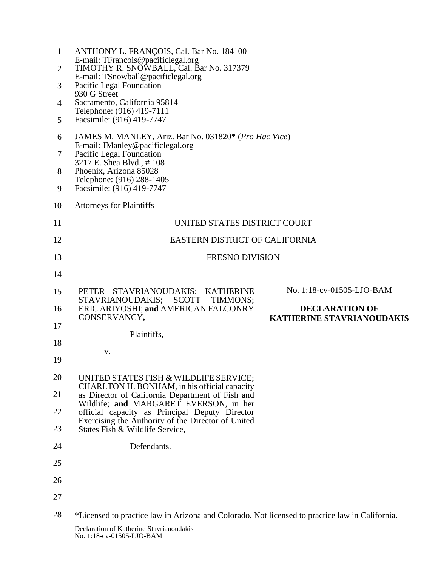| $\mathbf{1}$   | ANTHONY L. FRANÇOIS, Cal. Bar No. 184100<br>E-mail: TFrancois@pacificlegal.org                   |                                                           |  |
|----------------|--------------------------------------------------------------------------------------------------|-----------------------------------------------------------|--|
| $\overline{2}$ | TIMOTHY R. SNOWBALL, Cal. Bar No. 317379<br>E-mail: TSnowball@pacificlegal.org                   |                                                           |  |
| 3              | Pacific Legal Foundation<br>930 G Street                                                         |                                                           |  |
| $\overline{4}$ | Sacramento, California 95814<br>Telephone: (916) 419-7111                                        |                                                           |  |
| 5              | Facsimile: (916) 419-7747                                                                        |                                                           |  |
| 6              | JAMES M. MANLEY, Ariz. Bar No. 031820* (Pro Hac Vice)<br>E-mail: JManley@pacificlegal.org        |                                                           |  |
| 7              | Pacific Legal Foundation<br>3217 E. Shea Blvd., #108                                             |                                                           |  |
| 8              | Phoenix, Arizona 85028<br>Telephone: (916) 288-1405                                              |                                                           |  |
| 9              | Facsimile: (916) 419-7747                                                                        |                                                           |  |
| 10             | <b>Attorneys for Plaintiffs</b>                                                                  |                                                           |  |
| 11             | UNITED STATES DISTRICT COURT                                                                     |                                                           |  |
| 12             | <b>EASTERN DISTRICT OF CALIFORNIA</b>                                                            |                                                           |  |
| 13             | <b>FRESNO DIVISION</b>                                                                           |                                                           |  |
| 14             |                                                                                                  |                                                           |  |
| 15             | PETER STAVRIANOUDAKIS; KATHERINE<br>STAVRIANOUDAKIS;<br>SCOTT<br>TIMMONS;                        | No. 1:18-cv-01505-LJO-BAM                                 |  |
| 16             | ERIC ARIYOSHI; and AMERICAN FALCONRY<br>CONSERVANCY,                                             | <b>DECLARATION OF</b><br><b>KATHERINE STAVRIANOUDAKIS</b> |  |
| 17             | Plaintiffs,                                                                                      |                                                           |  |
| 18             | V.                                                                                               |                                                           |  |
| 19             |                                                                                                  |                                                           |  |
| 20             | UNITED STATES FISH & WILDLIFE SERVICE;                                                           |                                                           |  |
| 21             | CHARLTON H. BONHAM, in his official capacity<br>as Director of California Department of Fish and |                                                           |  |
| 22             | Wildlife; and MARGARET EVERSON, in her<br>official capacity as Principal Deputy Director         |                                                           |  |
| 23             | Exercising the Authority of the Director of United<br>States Fish & Wildlife Service,            |                                                           |  |
| 24             | Defendants.                                                                                      |                                                           |  |
| 25             |                                                                                                  |                                                           |  |
| 26             |                                                                                                  |                                                           |  |
| 27             |                                                                                                  |                                                           |  |
| 28             | *Licensed to practice law in Arizona and Colorado. Not licensed to practice law in California.   |                                                           |  |
|                | Declaration of Katherine Stavrianoudakis<br>No. 1:18-cv-01505-LJO-BAM                            |                                                           |  |

∥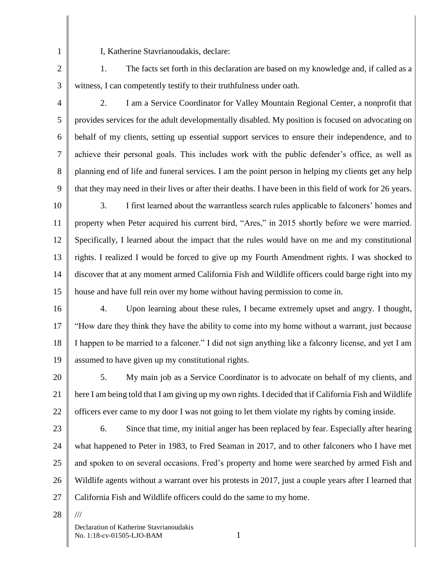1 2 I, Katherine Stavrianoudakis, declare:

3 1. The facts set forth in this declaration are based on my knowledge and, if called as a witness, I can competently testify to their truthfulness under oath.

4

5

6

7

8

9

2. I am a Service Coordinator for Valley Mountain Regional Center, a nonprofit that provides services for the adult developmentally disabled. My position is focused on advocating on behalf of my clients, setting up essential support services to ensure their independence, and to achieve their personal goals. This includes work with the public defender's office, as well as planning end of life and funeral services. I am the point person in helping my clients get any help that they may need in their lives or after their deaths. I have been in this field of work for 26 years.

10 11 12 13 14 15 3. I first learned about the warrantless search rules applicable to falconers' homes and property when Peter acquired his current bird, "Ares," in 2015 shortly before we were married. Specifically, I learned about the impact that the rules would have on me and my constitutional rights. I realized I would be forced to give up my Fourth Amendment rights. I was shocked to discover that at any moment armed California Fish and Wildlife officers could barge right into my house and have full rein over my home without having permission to come in.

16 17 18 19 4. Upon learning about these rules, I became extremely upset and angry. I thought, "How dare they think they have the ability to come into my home without a warrant, just because I happen to be married to a falconer." I did not sign anything like a falconry license, and yet I am assumed to have given up my constitutional rights.

20 21 22 5. My main job as a Service Coordinator is to advocate on behalf of my clients, and here I am being told that I am giving up my own rights. I decided that if California Fish and Wildlife officers ever came to my door I was not going to let them violate my rights by coming inside.

- 23 24 25 26 27 6. Since that time, my initial anger has been replaced by fear. Especially after hearing what happened to Peter in 1983, to Fred Seaman in 2017, and to other falconers who I have met and spoken to on several occasions. Fred's property and home were searched by armed Fish and Wildlife agents without a warrant over his protests in 2017, just a couple years after I learned that California Fish and Wildlife officers could do the same to my home.
- 28

///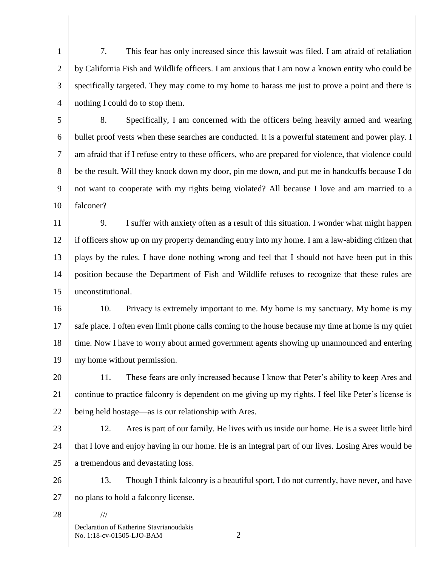1 2 3 4 7. This fear has only increased since this lawsuit was filed. I am afraid of retaliation by California Fish and Wildlife officers. I am anxious that I am now a known entity who could be specifically targeted. They may come to my home to harass me just to prove a point and there is nothing I could do to stop them.

5 6 7 8 9 10 8. Specifically, I am concerned with the officers being heavily armed and wearing bullet proof vests when these searches are conducted. It is a powerful statement and power play. I am afraid that if I refuse entry to these officers, who are prepared for violence, that violence could be the result. Will they knock down my door, pin me down, and put me in handcuffs because I do not want to cooperate with my rights being violated? All because I love and am married to a falconer?

11 12 13 14 15 9. I suffer with anxiety often as a result of this situation. I wonder what might happen if officers show up on my property demanding entry into my home. I am a law-abiding citizen that plays by the rules. I have done nothing wrong and feel that I should not have been put in this position because the Department of Fish and Wildlife refuses to recognize that these rules are unconstitutional.

16 17 18 19 10. Privacy is extremely important to me. My home is my sanctuary. My home is my safe place. I often even limit phone calls coming to the house because my time at home is my quiet time. Now I have to worry about armed government agents showing up unannounced and entering my home without permission.

20 21 22 11. These fears are only increased because I know that Peter's ability to keep Ares and continue to practice falconry is dependent on me giving up my rights. I feel like Peter's license is being held hostage—as is our relationship with Ares.

23

24 25 12. Ares is part of our family. He lives with us inside our home. He is a sweet little bird that I love and enjoy having in our home. He is an integral part of our lives. Losing Ares would be a tremendous and devastating loss.

26 27 13. Though I think falconry is a beautiful sport, I do not currently, have never, and have no plans to hold a falconry license.

28

Declaration of Katherine Stavrianoudakis No. 1:18-cv-01505-LJO-BAM 2

///